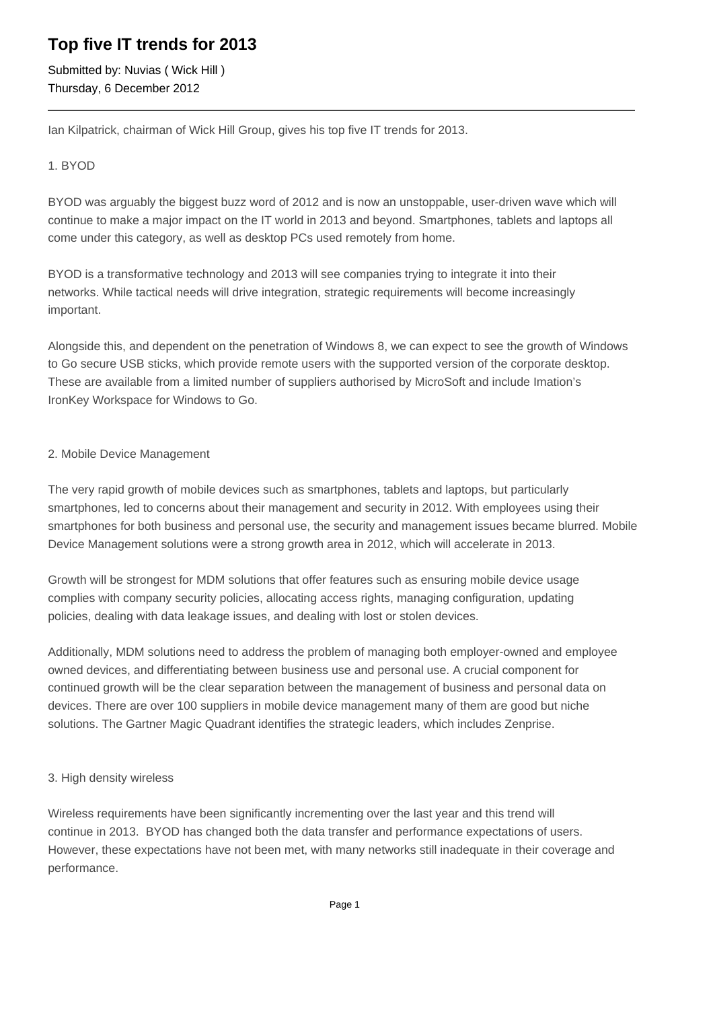## **Top five IT trends for 2013**

Submitted by: Nuvias ( Wick Hill ) Thursday, 6 December 2012

Ian Kilpatrick, chairman of Wick Hill Group, gives his top five IT trends for 2013.

### 1. BYOD

BYOD was arguably the biggest buzz word of 2012 and is now an unstoppable, user-driven wave which will continue to make a major impact on the IT world in 2013 and beyond. Smartphones, tablets and laptops all come under this category, as well as desktop PCs used remotely from home.

BYOD is a transformative technology and 2013 will see companies trying to integrate it into their networks. While tactical needs will drive integration, strategic requirements will become increasingly important.

Alongside this, and dependent on the penetration of Windows 8, we can expect to see the growth of Windows to Go secure USB sticks, which provide remote users with the supported version of the corporate desktop. These are available from a limited number of suppliers authorised by MicroSoft and include Imation's IronKey Workspace for Windows to Go.

#### 2. Mobile Device Management

The very rapid growth of mobile devices such as smartphones, tablets and laptops, but particularly smartphones, led to concerns about their management and security in 2012. With employees using their smartphones for both business and personal use, the security and management issues became blurred. Mobile Device Management solutions were a strong growth area in 2012, which will accelerate in 2013.

Growth will be strongest for MDM solutions that offer features such as ensuring mobile device usage complies with company security policies, allocating access rights, managing configuration, updating policies, dealing with data leakage issues, and dealing with lost or stolen devices.

Additionally, MDM solutions need to address the problem of managing both employer-owned and employee owned devices, and differentiating between business use and personal use. A crucial component for continued growth will be the clear separation between the management of business and personal data on devices. There are over 100 suppliers in mobile device management many of them are good but niche solutions. The Gartner Magic Quadrant identifies the strategic leaders, which includes Zenprise.

#### 3. High density wireless

Wireless requirements have been significantly incrementing over the last year and this trend will continue in 2013. BYOD has changed both the data transfer and performance expectations of users. However, these expectations have not been met, with many networks still inadequate in their coverage and performance.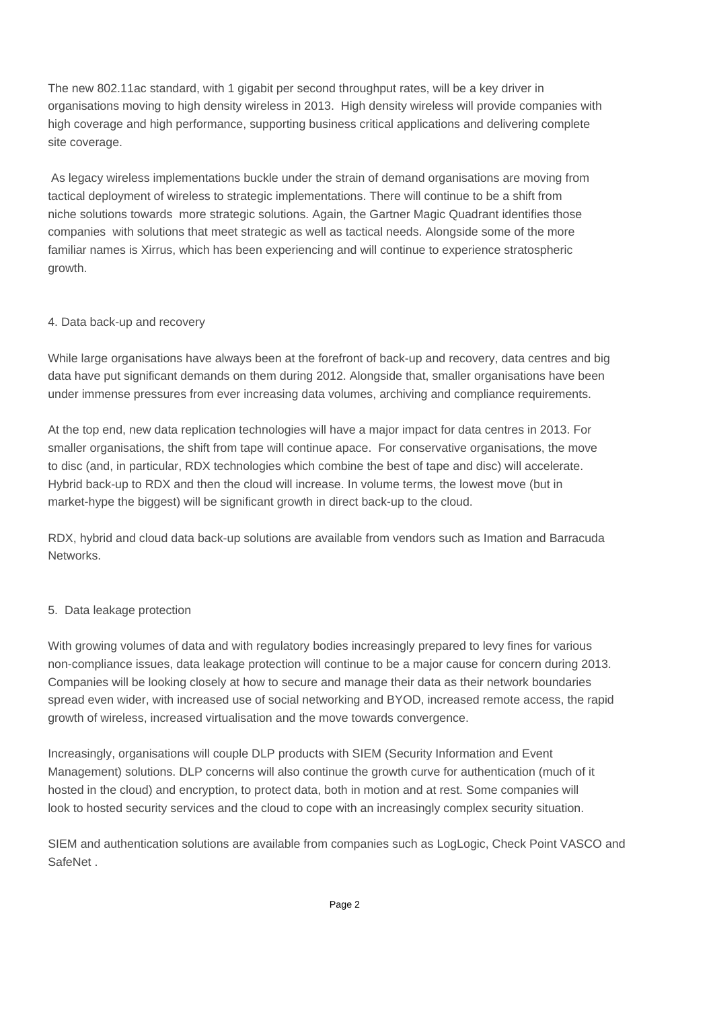The new 802.11ac standard, with 1 gigabit per second throughput rates, will be a key driver in organisations moving to high density wireless in 2013. High density wireless will provide companies with high coverage and high performance, supporting business critical applications and delivering complete site coverage.

 As legacy wireless implementations buckle under the strain of demand organisations are moving from tactical deployment of wireless to strategic implementations. There will continue to be a shift from niche solutions towards more strategic solutions. Again, the Gartner Magic Quadrant identifies those companies with solutions that meet strategic as well as tactical needs. Alongside some of the more familiar names is Xirrus, which has been experiencing and will continue to experience stratospheric growth.

#### 4. Data back-up and recovery

While large organisations have always been at the forefront of back-up and recovery, data centres and big data have put significant demands on them during 2012. Alongside that, smaller organisations have been under immense pressures from ever increasing data volumes, archiving and compliance requirements.

At the top end, new data replication technologies will have a major impact for data centres in 2013. For smaller organisations, the shift from tape will continue apace. For conservative organisations, the move to disc (and, in particular, RDX technologies which combine the best of tape and disc) will accelerate. Hybrid back-up to RDX and then the cloud will increase. In volume terms, the lowest move (but in market-hype the biggest) will be significant growth in direct back-up to the cloud.

RDX, hybrid and cloud data back-up solutions are available from vendors such as Imation and Barracuda Networks.

#### 5. Data leakage protection

With growing volumes of data and with regulatory bodies increasingly prepared to levy fines for various non-compliance issues, data leakage protection will continue to be a major cause for concern during 2013. Companies will be looking closely at how to secure and manage their data as their network boundaries spread even wider, with increased use of social networking and BYOD, increased remote access, the rapid growth of wireless, increased virtualisation and the move towards convergence.

Increasingly, organisations will couple DLP products with SIEM (Security Information and Event Management) solutions. DLP concerns will also continue the growth curve for authentication (much of it hosted in the cloud) and encryption, to protect data, both in motion and at rest. Some companies will look to hosted security services and the cloud to cope with an increasingly complex security situation.

SIEM and authentication solutions are available from companies such as LogLogic, Check Point VASCO and **SafeNet**